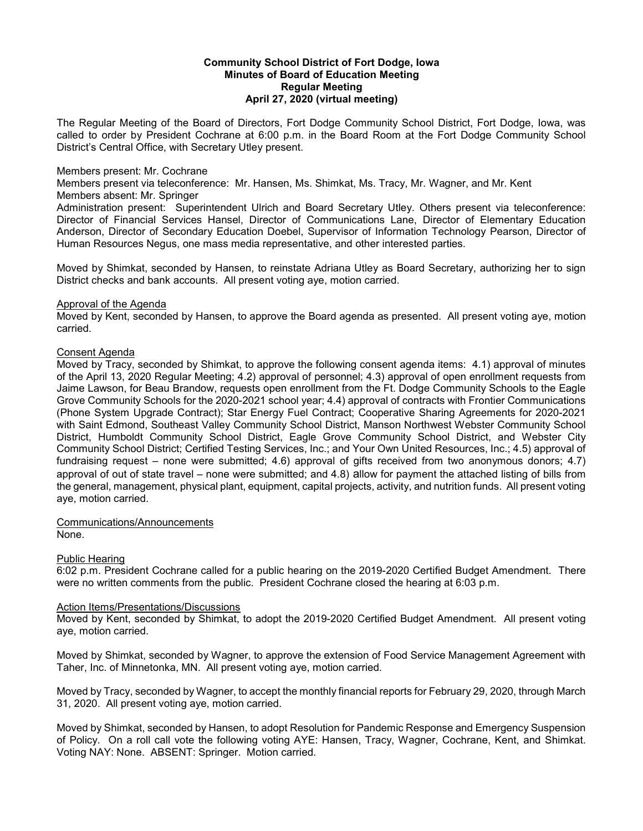## **Community School District of Fort Dodge, Iowa Minutes of Board of Education Meeting Regular Meeting April 27, 2020 (virtual meeting)**

The Regular Meeting of the Board of Directors, Fort Dodge Community School District, Fort Dodge, Iowa, was called to order by President Cochrane at 6:00 p.m. in the Board Room at the Fort Dodge Community School District's Central Office, with Secretary Utley present.

## Members present: Mr. Cochrane

Members present via teleconference: Mr. Hansen, Ms. Shimkat, Ms. Tracy, Mr. Wagner, and Mr. Kent

Members absent: Mr. Springer

Administration present: Superintendent Ulrich and Board Secretary Utley. Others present via teleconference: Director of Financial Services Hansel, Director of Communications Lane, Director of Elementary Education Anderson, Director of Secondary Education Doebel, Supervisor of Information Technology Pearson, Director of Human Resources Negus, one mass media representative, and other interested parties.

Moved by Shimkat, seconded by Hansen, to reinstate Adriana Utley as Board Secretary, authorizing her to sign District checks and bank accounts. All present voting aye, motion carried.

#### Approval of the Agenda

Moved by Kent, seconded by Hansen, to approve the Board agenda as presented. All present voting aye, motion carried.

#### Consent Agenda

Moved by Tracy, seconded by Shimkat, to approve the following consent agenda items: 4.1) approval of minutes of the April 13, 2020 Regular Meeting; 4.2) approval of personnel; 4.3) approval of open enrollment requests from Jaime Lawson, for Beau Brandow, requests open enrollment from the Ft. Dodge Community Schools to the Eagle Grove Community Schools for the 2020-2021 school year; 4.4) approval of contracts with Frontier Communications (Phone System Upgrade Contract); Star Energy Fuel Contract; Cooperative Sharing Agreements for 2020-2021 with Saint Edmond, Southeast Valley Community School District, Manson Northwest Webster Community School District, Humboldt Community School District, Eagle Grove Community School District, and Webster City Community School District; Certified Testing Services, Inc.; and Your Own United Resources, Inc.; 4.5) approval of fundraising request – none were submitted; 4.6) approval of gifts received from two anonymous donors; 4.7) approval of out of state travel – none were submitted; and 4.8) allow for payment the attached listing of bills from the general, management, physical plant, equipment, capital projects, activity, and nutrition funds. All present voting aye, motion carried.

Communications/Announcements

None.

# Public Hearing

6:02 p.m. President Cochrane called for a public hearing on the 2019-2020 Certified Budget Amendment. There were no written comments from the public. President Cochrane closed the hearing at 6:03 p.m.

# Action Items/Presentations/Discussions

Moved by Kent, seconded by Shimkat, to adopt the 2019-2020 Certified Budget Amendment. All present voting aye, motion carried.

Moved by Shimkat, seconded by Wagner, to approve the extension of Food Service Management Agreement with Taher, Inc. of Minnetonka, MN. All present voting aye, motion carried.

Moved by Tracy, seconded by Wagner, to accept the monthly financial reports for February 29, 2020, through March 31, 2020. All present voting aye, motion carried.

Moved by Shimkat, seconded by Hansen, to adopt Resolution for Pandemic Response and Emergency Suspension of Policy. On a roll call vote the following voting AYE: Hansen, Tracy, Wagner, Cochrane, Kent, and Shimkat. Voting NAY: None. ABSENT: Springer. Motion carried.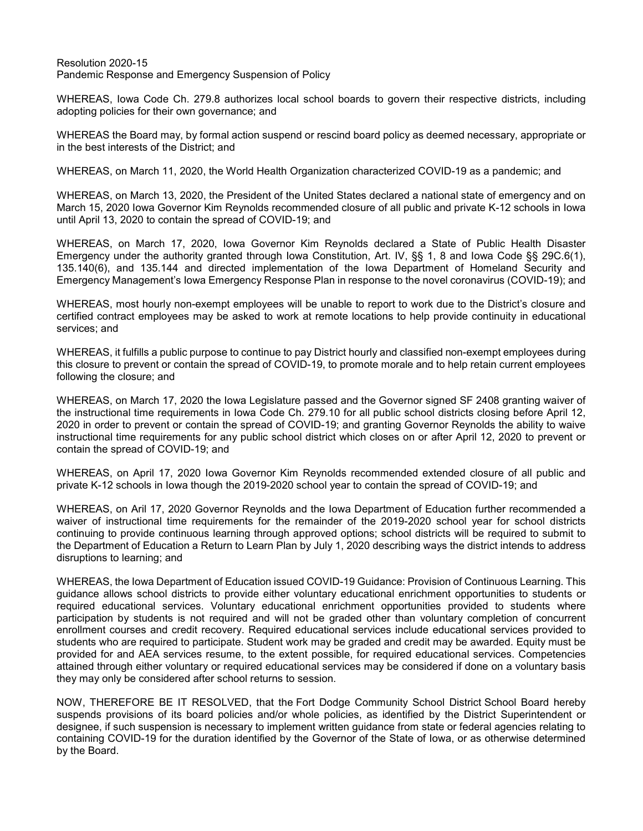Resolution 2020-15 Pandemic Response and Emergency Suspension of Policy

WHEREAS, Iowa Code Ch. 279.8 authorizes local school boards to govern their respective districts, including adopting policies for their own governance; and

WHEREAS the Board may, by formal action suspend or rescind board policy as deemed necessary, appropriate or in the best interests of the District; and

WHEREAS, on March 11, 2020, the World Health Organization characterized COVID-19 as a pandemic; and

WHEREAS, on March 13, 2020, the President of the United States declared a national state of emergency and on March 15, 2020 Iowa Governor Kim Reynolds recommended closure of all public and private K-12 schools in Iowa until April 13, 2020 to contain the spread of COVID-19; and

WHEREAS, on March 17, 2020, Iowa Governor Kim Reynolds declared a State of Public Health Disaster Emergency under the authority granted through Iowa Constitution, Art. IV, §§ 1, 8 and Iowa Code §§ 29C.6(1), 135.140(6), and 135.144 and directed implementation of the Iowa Department of Homeland Security and Emergency Management's Iowa Emergency Response Plan in response to the novel coronavirus (COVID-19); and

WHEREAS, most hourly non-exempt employees will be unable to report to work due to the District's closure and certified contract employees may be asked to work at remote locations to help provide continuity in educational services; and

WHEREAS, it fulfills a public purpose to continue to pay District hourly and classified non-exempt employees during this closure to prevent or contain the spread of COVID-19, to promote morale and to help retain current employees following the closure; and

WHEREAS, on March 17, 2020 the Iowa Legislature passed and the Governor signed SF 2408 granting waiver of the instructional time requirements in Iowa Code Ch. 279.10 for all public school districts closing before April 12, 2020 in order to prevent or contain the spread of COVID-19; and granting Governor Reynolds the ability to waive instructional time requirements for any public school district which closes on or after April 12, 2020 to prevent or contain the spread of COVID-19; and

WHEREAS, on April 17, 2020 Iowa Governor Kim Reynolds recommended extended closure of all public and private K-12 schools in Iowa though the 2019-2020 school year to contain the spread of COVID-19; and

WHEREAS, on Aril 17, 2020 Governor Reynolds and the Iowa Department of Education further recommended a waiver of instructional time requirements for the remainder of the 2019-2020 school year for school districts continuing to provide continuous learning through approved options; school districts will be required to submit to the Department of Education a Return to Learn Plan by July 1, 2020 describing ways the district intends to address disruptions to learning; and

WHEREAS, the Iowa Department of Education issued COVID-19 Guidance: Provision of Continuous Learning. This guidance allows school districts to provide either voluntary educational enrichment opportunities to students or required educational services. Voluntary educational enrichment opportunities provided to students where participation by students is not required and will not be graded other than voluntary completion of concurrent enrollment courses and credit recovery. Required educational services include educational services provided to students who are required to participate. Student work may be graded and credit may be awarded. Equity must be provided for and AEA services resume, to the extent possible, for required educational services. Competencies attained through either voluntary or required educational services may be considered if done on a voluntary basis they may only be considered after school returns to session.

NOW, THEREFORE BE IT RESOLVED, that the Fort Dodge Community School District School Board hereby suspends provisions of its board policies and/or whole policies, as identified by the District Superintendent or designee, if such suspension is necessary to implement written guidance from state or federal agencies relating to containing COVID-19 for the duration identified by the Governor of the State of Iowa, or as otherwise determined by the Board.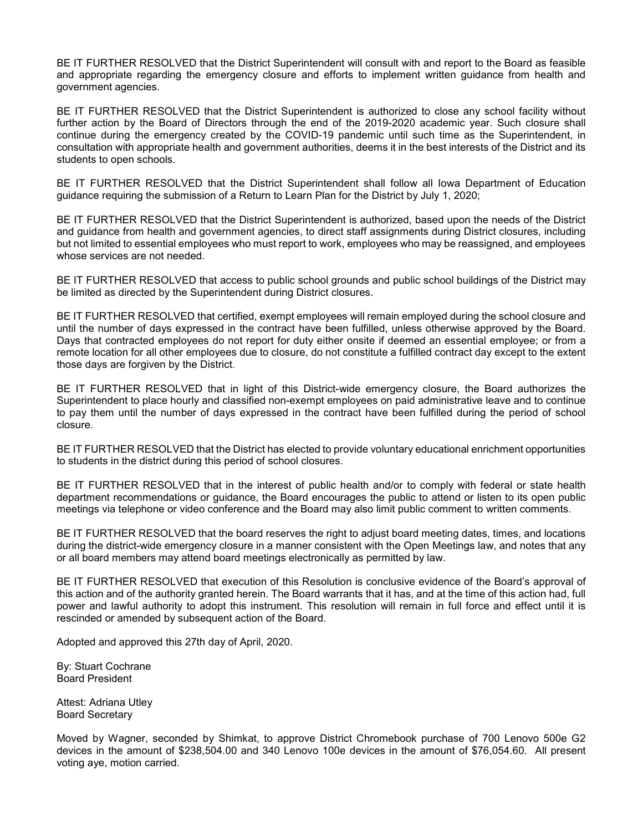BE IT FURTHER RESOLVED that the District Superintendent will consult with and report to the Board as feasible and appropriate regarding the emergency closure and efforts to implement written guidance from health and government agencies.

BE IT FURTHER RESOLVED that the District Superintendent is authorized to close any school facility without further action by the Board of Directors through the end of the 2019-2020 academic year. Such closure shall continue during the emergency created by the COVID-19 pandemic until such time as the Superintendent, in consultation with appropriate health and government authorities, deems it in the best interests of the District and its students to open schools.

BE IT FURTHER RESOLVED that the District Superintendent shall follow all Iowa Department of Education guidance requiring the submission of a Return to Learn Plan for the District by July 1, 2020;

BE IT FURTHER RESOLVED that the District Superintendent is authorized, based upon the needs of the District and guidance from health and government agencies, to direct staff assignments during District closures, including but not limited to essential employees who must report to work, employees who may be reassigned, and employees whose services are not needed.

BE IT FURTHER RESOLVED that access to public school grounds and public school buildings of the District may be limited as directed by the Superintendent during District closures.

BE IT FURTHER RESOLVED that certified, exempt employees will remain employed during the school closure and until the number of days expressed in the contract have been fulfilled, unless otherwise approved by the Board. Days that contracted employees do not report for duty either onsite if deemed an essential employee; or from a remote location for all other employees due to closure, do not constitute a fulfilled contract day except to the extent those days are forgiven by the District.

BE IT FURTHER RESOLVED that in light of this District-wide emergency closure, the Board authorizes the Superintendent to place hourly and classified non-exempt employees on paid administrative leave and to continue to pay them until the number of days expressed in the contract have been fulfilled during the period of school closure.

BE IT FURTHER RESOLVED that the District has elected to provide voluntary educational enrichment opportunities to students in the district during this period of school closures.

BE IT FURTHER RESOLVED that in the interest of public health and/or to comply with federal or state health department recommendations or guidance, the Board encourages the public to attend or listen to its open public meetings via telephone or video conference and the Board may also limit public comment to written comments.

BE IT FURTHER RESOLVED that the board reserves the right to adjust board meeting dates, times, and locations during the district-wide emergency closure in a manner consistent with the Open Meetings law, and notes that any or all board members may attend board meetings electronically as permitted by law.

BE IT FURTHER RESOLVED that execution of this Resolution is conclusive evidence of the Board's approval of this action and of the authority granted herein. The Board warrants that it has, and at the time of this action had, full power and lawful authority to adopt this instrument. This resolution will remain in full force and effect until it is rescinded or amended by subsequent action of the Board.

Adopted and approved this 27th day of April, 2020.

By: Stuart Cochrane Board President

Attest: Adriana Utley Board Secretary

Moved by Wagner, seconded by Shimkat, to approve District Chromebook purchase of 700 Lenovo 500e G2 devices in the amount of \$238,504.00 and 340 Lenovo 100e devices in the amount of \$76,054.60. All present voting aye, motion carried.